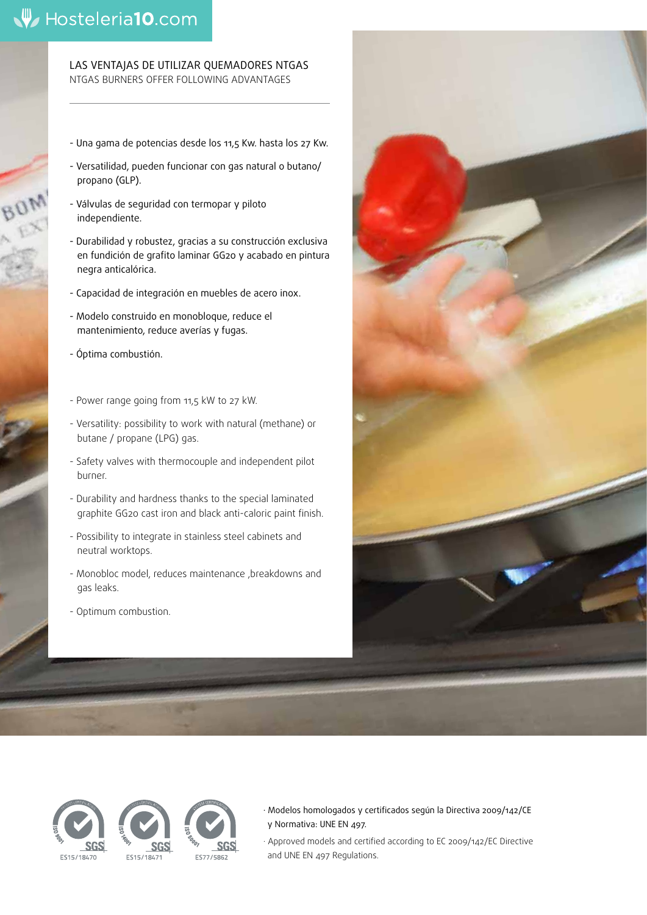# Hosteleria10.com

LAS VENTAJAS DE UTILIZAR QUEMADORES NTGAS NTGAS BURNERS OFFER FOLLOWING ADVANTAGES

- Una gama de potencias desde los 11,5 Kw. hasta los 27 Kw.
- Versatilidad, pueden funcionar con gas natural o butano/ propano (GLP).
- Válvulas de seguridad con termopar y piloto independiente.
- Durabilidad y robustez, gracias a su construcción exclusiva en fundición de grafito laminar GG20 y acabado en pintura negra anticalórica.
- Capacidad de integración en muebles de acero inox.
- Modelo construido en monobloque, reduce el mantenimiento, reduce averías y fugas.
- Óptima combustión.
- Power range going from 11,5 kW to 27 kW.
- Versatility: possibility to work with natural (methane) or butane / propane (LPG) gas.
- Safety valves with thermocouple and independent pilot burner.
- Durability and hardness thanks to the special laminated graphite GG20 cast iron and black anti-caloric paint finish.
- Possibility to integrate in stainless steel cabinets and neutral worktops.
- Monobloc model, reduces maintenance ,breakdowns and gas leaks.
- Optimum combustion.





· Modelos homologados y certificados según la Directiva 2009/142/CE y Normativa: UNE EN 497.

· Approved models and certified according to EC 2009/142/EC Directive and UNE EN 497 Regulations.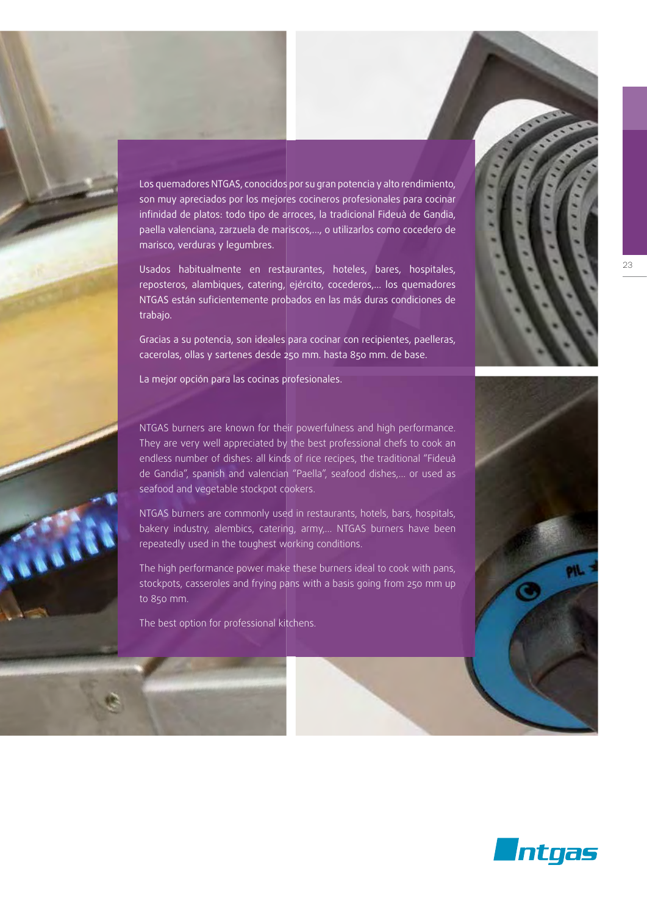

Los quemadores NTGAS, conocidos por su gran potencia y alto rendimiento, son muy apreciados por los mejores cocineros profesionales para cocinar infinidad de platos: todo tipo de arroces, la tradicional Fideuà de Gandia, paella valenciana, zarzuela de mariscos,..., o utilizarlos como cocedero de marisco, verduras y legumbres.

Usados habitualmente en restaurantes, hoteles, bares, hospitales, reposteros, alambiques, catering, ejército, cocederos,... los quemadores NTGAS están suficientemente probados en las más duras condiciones de trabajo.

Gracias a su potencia, son ideales para cocinar con recipientes, paelleras, cacerolas, ollas y sartenes desde 250 mm. hasta 850 mm. de base.

La mejor opción para las cocinas profesionales.

NTGAS burners are known for their powerfulness and high performance. They are very well appreciated by the best professional chefs to cook an endless number of dishes: all kinds of rice recipes, the traditional "Fideuà de Gandia", spanish and valencian "Paella", seafood dishes,… or used as seafood and vegetable stockpot cookers.

NTGAS burners are commonly used in restaurants, hotels, bars, hospitals, bakery industry, alembics, catering, army,... NTGAS burners have been repeatedly used in the toughest working conditions.

The high performance power make these burners ideal to cook with pans, stockpots, casseroles and frying pans with a basis going from 250 mm up to 850 mm.

The best option for professional kitchens.





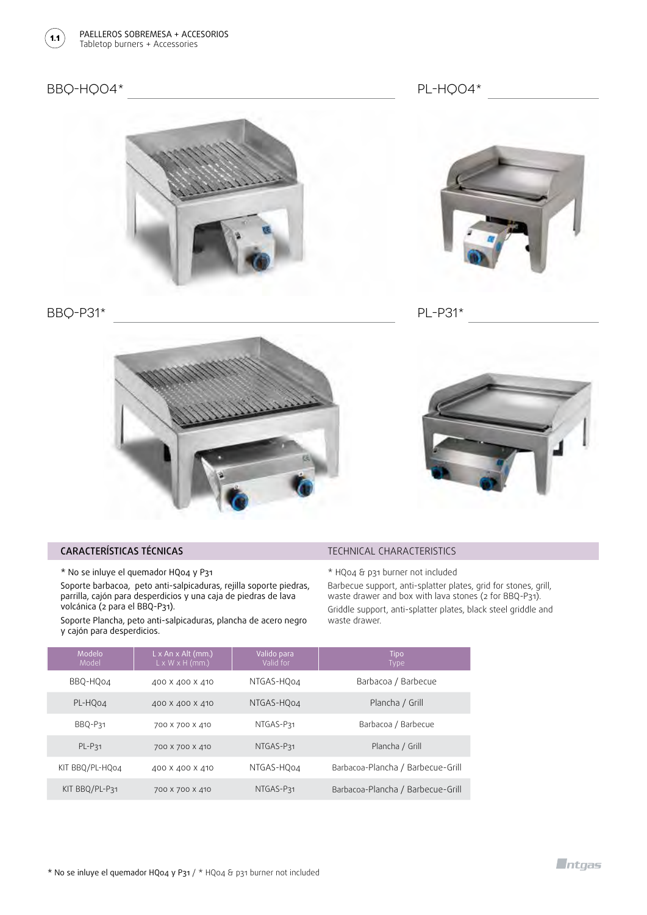

## BBQ-HQ04\*



BBQ-P31\*



PL-P31\*





#### CARACTERÍSTICAS TÉCNICAS

\* No se inluye el quemador HQ04 y P31

Soporte barbacoa, peto anti-salpicaduras, rejilla soporte piedras, parrilla, cajón para desperdicios y una caja de piedras de lava volcánica (2 para el BBQ-P31).

Soporte Plancha, peto anti-salpicaduras, plancha de acero negro y cajón para desperdicios.

TECHNICAL CHARACTERISTICS

\* HQ04 & p31 burner not included

Barbecue support, anti-splatter plates, grid for stones, grill, waste drawer and box with lava stones (2 for BBQ-P31). Griddle support, anti-splatter plates, black steel griddle and waste drawer.

| Modelo<br>Model | $L \times An \times Alt$ (mm.)<br>$L \times W \times H$ (mm.) | Valido para<br>Valid for | <b>Tipo</b><br><b>Type</b>        |
|-----------------|---------------------------------------------------------------|--------------------------|-----------------------------------|
| BBQ-HQo4        | 400 X 400 X 410                                               | NTGAS-HO04               | Barbacoa / Barbecue               |
| PL-HQ04         | 400 X 400 X 410                                               | NTGAS-HQ04               | Plancha / Grill                   |
| BBQ-P31         | 700 X 700 X 410                                               | NTGAS-P31                | Barbacoa / Barbecue               |
| PL-P31          | 700 X 700 X 410                                               | NTGAS-P31                | Plancha / Grill                   |
| KIT BBQ/PL-HQ04 | 400 X 400 X 410                                               | NTGAS-HO04               | Barbacoa-Plancha / Barbecue-Grill |
| KIT BBQ/PL-P31  | 700 X 700 X 410                                               | NTGAS-P31                | Barbacoa-Plancha / Barbecue-Grill |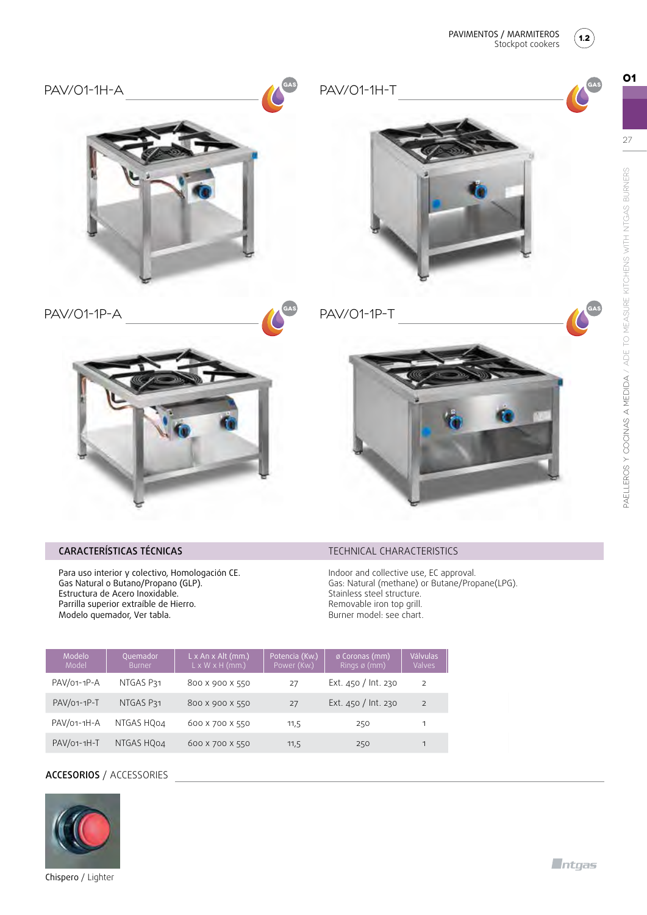

**GAS**

**01**



**GAS**





**GAS**





## CARACTERÍSTICAS TÉCNICAS

Para uso interior y colectivo, Homologación CE. Gas Natural o Butano/Propano (GLP). Estructura de Acero Inoxidable. Parrilla superior extraíble de Hierro. Modelo quemador, Ver tabla.

## PAV/01-1P-A PAV/01-1P-T



## TECHNICAL CHARACTERISTICS

Indoor and collective use, EC approval. Gas: Natural (methane) or Butane/Propane(LPG). Stainless steel structure. Removable iron top grill. Burner model: see chart.

| Modelo<br>Model | Quemador<br><b>Burner</b> | $L \times An \times Alt$ (mm.)<br>$L \times W \times H$ (mm.) | Potencia (Kw.)<br>Power (Kw.) | ø Coronas (mm)<br>Rings $\varnothing$ (mm) | <b>Válvulas</b><br>Valves |
|-----------------|---------------------------|---------------------------------------------------------------|-------------------------------|--------------------------------------------|---------------------------|
| PAV/01-1P-A     | NTGAS P31                 | 800 X 900 X 550                                               | 27                            | Ext. $450 / \ln 230$                       | 2                         |
| PAV/01-1P-T     | NTGAS P31                 | 800 X 900 X 550                                               | 27                            | Ext. 450 / Int. 230                        | 2                         |
| PAV/01-1H-A     | NTGAS HQ04                | 600 X 700 X 550                                               | 11,5                          | 250                                        |                           |
| PAV/01-1H-T     | NTGAS HQ04                | 600 X 700 X 550                                               | 11,5                          | 250                                        | 1                         |

## ACCESORIOS / ACCESSORIES



Chispero / Lighter